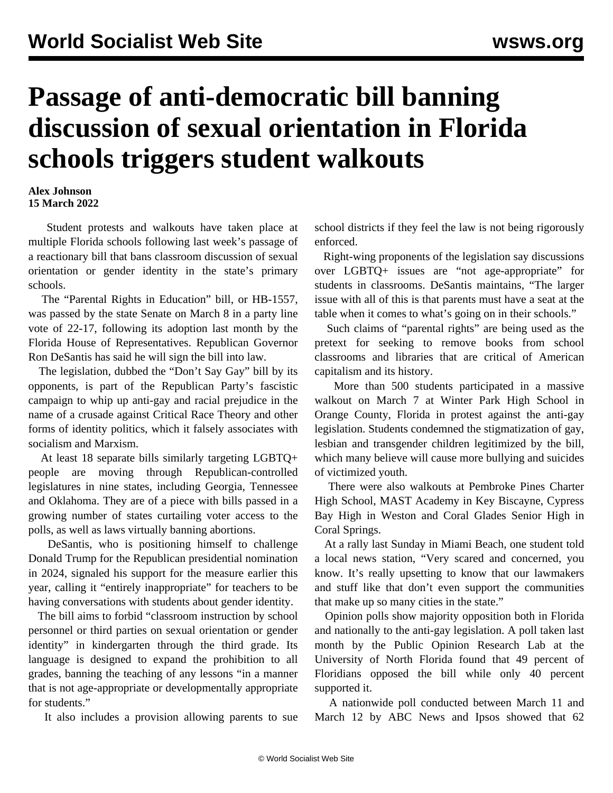## **Passage of anti-democratic bill banning discussion of sexual orientation in Florida schools triggers student walkouts**

## **Alex Johnson 15 March 2022**

 Student protests and walkouts have taken place at multiple Florida schools following last week's passage of a reactionary bill that bans classroom discussion of sexual orientation or gender identity in the state's primary schools.

 The "Parental Rights in Education" bill, or HB-1557, was passed by the state Senate on March 8 in a party line vote of 22-17, following its adoption last month by the Florida House of Representatives. Republican Governor Ron DeSantis has said he will sign the bill into law.

 The legislation, dubbed the "Don't Say Gay" bill by its opponents, is part of the Republican Party's fascistic campaign to whip up anti-gay and racial prejudice in the name of a crusade against Critical Race Theory and other forms of identity politics, which it falsely associates with socialism and Marxism.

 At least 18 separate bills similarly targeting LGBTQ+ people are moving through Republican-controlled legislatures in nine states, including Georgia, Tennessee and Oklahoma. They are of a piece with bills passed in a growing number of states curtailing voter access to the polls, as well as laws virtually banning abortions.

 DeSantis, who is positioning himself to challenge Donald Trump for the Republican presidential nomination in 2024, signaled his support for the measure earlier this year, calling it "entirely inappropriate" for teachers to be having conversations with students about gender identity.

 The bill aims to forbid "classroom instruction by school personnel or third parties on sexual orientation or gender identity" in kindergarten through the third grade. Its language is designed to expand the prohibition to all grades, banning the teaching of any lessons "in a manner that is not age-appropriate or developmentally appropriate for students."

It also includes a provision allowing parents to sue

school districts if they feel the law is not being rigorously enforced.

 Right-wing proponents of the legislation say discussions over LGBTQ+ issues are "not age-appropriate" for students in classrooms. DeSantis maintains, "The larger issue with all of this is that parents must have a seat at the table when it comes to what's going on in their schools."

 Such claims of "parental rights" are being used as the pretext for seeking to remove books from school classrooms and libraries that are critical of American capitalism and its history.

 More than 500 students participated in a massive walkout on March 7 at Winter Park High School in Orange County, Florida in protest against the anti-gay legislation. Students condemned the stigmatization of gay, lesbian and transgender children legitimized by the bill, which many believe will cause more bullying and suicides of victimized youth.

 There were also walkouts at Pembroke Pines Charter High School, MAST Academy in Key Biscayne, Cypress Bay High in Weston and Coral Glades Senior High in Coral Springs.

 At a rally last Sunday in Miami Beach, one student told a local news station, "Very scared and concerned, you know. It's really upsetting to know that our lawmakers and stuff like that don't even support the communities that make up so many cities in the state."

 Opinion polls show majority opposition both in Florida and nationally to the anti-gay legislation. A poll taken last month by the Public Opinion Research Lab at the University of North Florida found that 49 percent of Floridians opposed the bill while only 40 percent supported it.

 A nationwide poll conducted between March 11 and March 12 by ABC News and Ipsos showed that 62